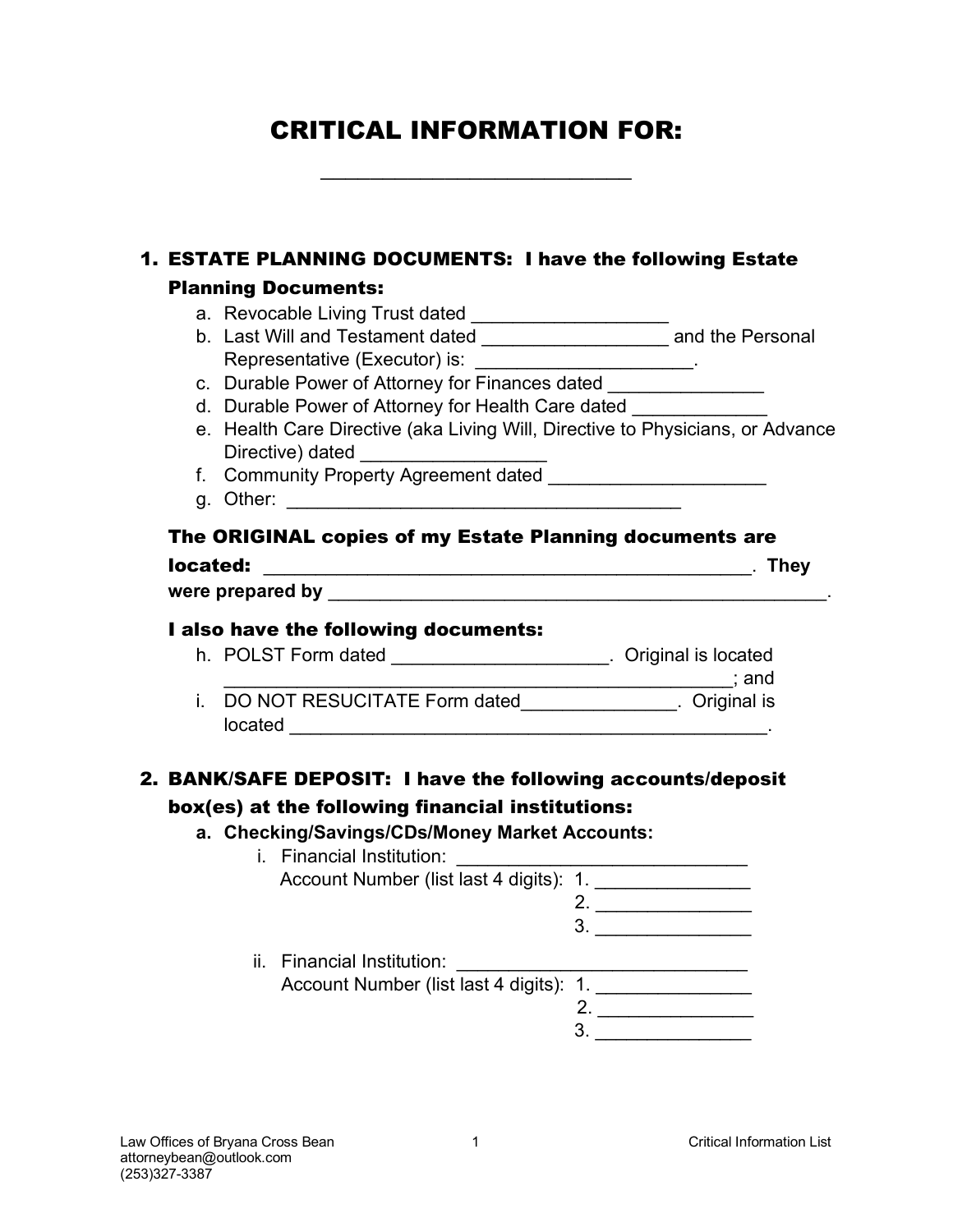# CRITICAL INFORMATION FOR:

\_\_\_\_\_\_\_\_\_\_\_\_\_\_\_\_\_\_\_\_\_\_\_\_\_

|          | 1. ESTATE PLANNING DOCUMENTS: I have the following Estate<br><b>Planning Documents:</b> |                                                                                |
|----------|-----------------------------------------------------------------------------------------|--------------------------------------------------------------------------------|
|          | a. Revocable Living Trust dated ______________________                                  |                                                                                |
|          |                                                                                         | b. Last Will and Testament dated ________________________ and the Personal     |
|          | Representative (Executor) is: ________________________.                                 |                                                                                |
|          |                                                                                         | c. Durable Power of Attorney for Finances dated ________________               |
|          | d. Durable Power of Attorney for Health Care dated                                      |                                                                                |
|          |                                                                                         | e. Health Care Directive (aka Living Will, Directive to Physicians, or Advance |
|          | Directive) dated ___________________                                                    |                                                                                |
|          |                                                                                         |                                                                                |
|          |                                                                                         |                                                                                |
|          |                                                                                         | The ORIGINAL copies of my Estate Planning documents are                        |
| located: |                                                                                         |                                                                                |
|          |                                                                                         |                                                                                |
|          |                                                                                         |                                                                                |
|          |                                                                                         | h. POLST Form dated ______________________. Original is located                |
|          |                                                                                         | i. DO NOT RESUCITATE Form dated_______________. Original is                    |
|          |                                                                                         |                                                                                |
|          |                                                                                         |                                                                                |
|          |                                                                                         | 2. BANK/SAFE DEPOSIT: I have the following accounts/deposit                    |
|          | box(es) at the following financial institutions:                                        |                                                                                |
|          | a. Checking/Savings/CDs/Money Market Accounts:                                          |                                                                                |
|          | <i>i.</i> Financial Institution:                                                        |                                                                                |
|          |                                                                                         | Account Number (list last 4 digits): 1. __________________                     |
|          |                                                                                         | 2. $\qquad \qquad$                                                             |
|          |                                                                                         |                                                                                |
|          | ii. Financial Institution:                                                              |                                                                                |
|          |                                                                                         | Account Number (list last 4 digits): 1. __________________                     |
|          |                                                                                         | 2. $\qquad \qquad$<br>$\begin{array}{c}\n3.\n\end{array}$                      |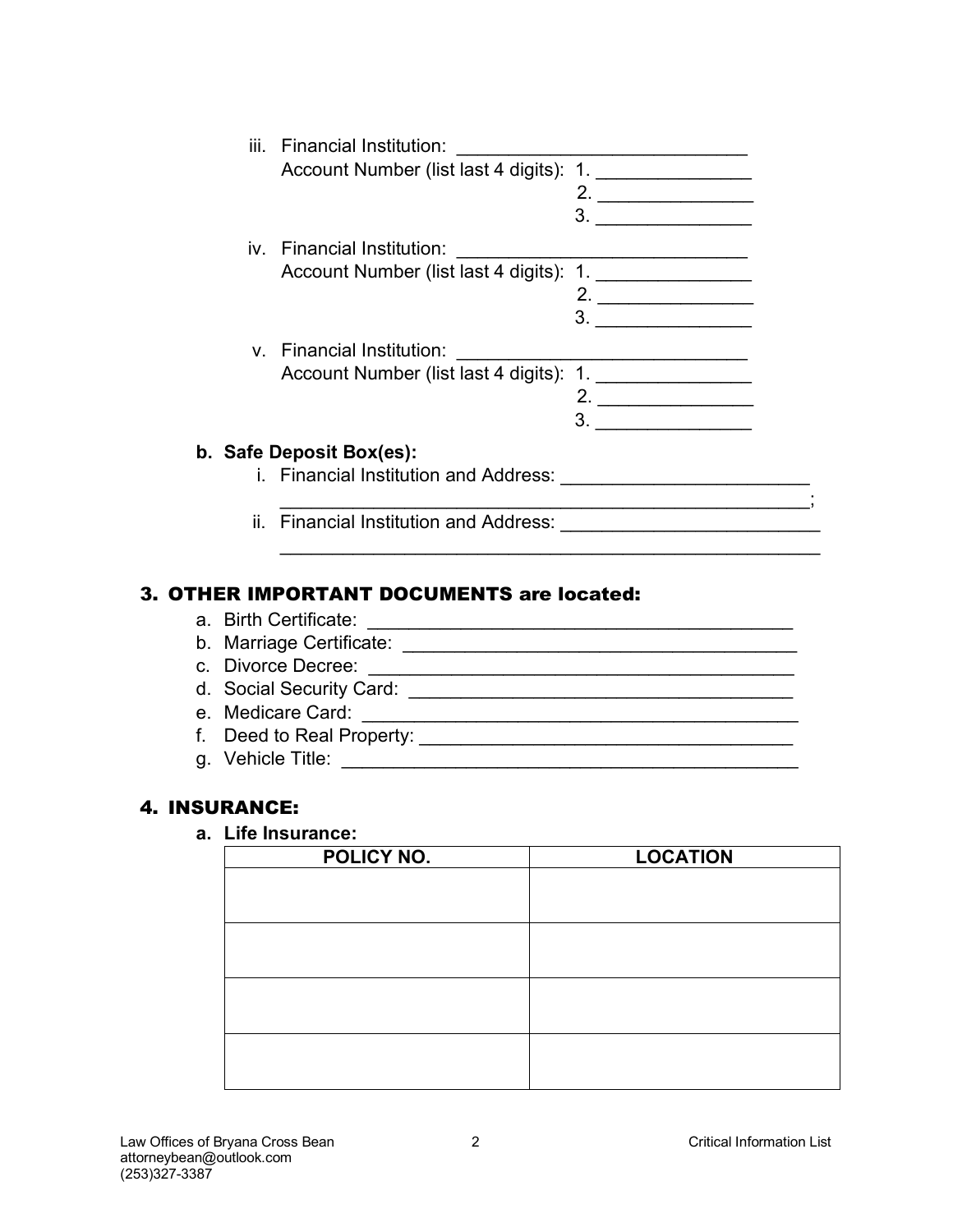|  | iii. Financial Institution:                  |                                                                                                                                                                                                                                                                                                                                                                                                                                                                                             |
|--|----------------------------------------------|---------------------------------------------------------------------------------------------------------------------------------------------------------------------------------------------------------------------------------------------------------------------------------------------------------------------------------------------------------------------------------------------------------------------------------------------------------------------------------------------|
|  |                                              |                                                                                                                                                                                                                                                                                                                                                                                                                                                                                             |
|  |                                              | 2.                                                                                                                                                                                                                                                                                                                                                                                                                                                                                          |
|  |                                              | 3.<br><u> 1989 - Andrea Station Books, amerikansk politiker (</u>                                                                                                                                                                                                                                                                                                                                                                                                                           |
|  | iv. Financial Institution:                   |                                                                                                                                                                                                                                                                                                                                                                                                                                                                                             |
|  | Account Number (list last 4 digits): 1.      |                                                                                                                                                                                                                                                                                                                                                                                                                                                                                             |
|  |                                              | 2.<br>$\begin{array}{ccccccccccccc} \multicolumn{2}{c}{} & \multicolumn{2}{c}{} & \multicolumn{2}{c}{} & \multicolumn{2}{c}{} & \multicolumn{2}{c}{} & \multicolumn{2}{c}{} & \multicolumn{2}{c}{} & \multicolumn{2}{c}{} & \multicolumn{2}{c}{} & \multicolumn{2}{c}{} & \multicolumn{2}{c}{} & \multicolumn{2}{c}{} & \multicolumn{2}{c}{} & \multicolumn{2}{c}{} & \multicolumn{2}{c}{} & \multicolumn{2}{c}{} & \multicolumn{2}{c}{} & \multicolumn{2}{c}{} & \multicolumn{2}{c}{} & \$ |
|  |                                              | 3.                                                                                                                                                                                                                                                                                                                                                                                                                                                                                          |
|  | v. Financial Institution:                    |                                                                                                                                                                                                                                                                                                                                                                                                                                                                                             |
|  | Account Number (list last 4 digits): 1.      |                                                                                                                                                                                                                                                                                                                                                                                                                                                                                             |
|  |                                              | <u> 1989 - Johann Barbara, martin a</u>                                                                                                                                                                                                                                                                                                                                                                                                                                                     |
|  |                                              | 3.                                                                                                                                                                                                                                                                                                                                                                                                                                                                                          |
|  | b. Safe Deposit Box(es):                     |                                                                                                                                                                                                                                                                                                                                                                                                                                                                                             |
|  | <i>i.</i> Financial Institution and Address: |                                                                                                                                                                                                                                                                                                                                                                                                                                                                                             |
|  |                                              |                                                                                                                                                                                                                                                                                                                                                                                                                                                                                             |
|  | ii. Financial Institution and Address:       |                                                                                                                                                                                                                                                                                                                                                                                                                                                                                             |

\_\_\_\_\_\_\_\_\_\_\_\_\_\_\_\_\_\_\_\_\_\_\_\_\_\_\_\_\_\_\_\_\_\_\_\_\_\_\_\_\_\_\_\_\_\_\_\_\_\_\_\_

#### 3. OTHER IMPORTANT DOCUMENTS are located:

- a. Birth Certificate: \_\_\_\_\_\_\_\_\_\_\_\_\_\_\_\_\_\_\_\_\_\_\_\_\_\_\_\_\_\_\_\_\_\_\_\_\_\_\_\_\_
- b. Marriage Certificate: \_\_\_\_\_\_\_\_\_\_\_\_\_\_\_\_\_\_\_\_\_\_\_\_\_\_\_\_\_\_\_\_\_\_\_\_\_\_
- c. Divorce Decree: \_\_\_\_\_\_\_\_\_\_\_\_\_\_\_\_\_\_\_\_\_\_\_\_\_\_\_\_\_\_\_\_\_\_\_\_\_\_\_\_\_
- d. Social Security Card: \_\_\_\_\_\_\_\_\_\_\_\_\_\_\_\_\_\_\_\_\_\_\_\_\_\_\_\_\_\_\_\_\_\_\_\_\_
- e. Medicare Card: \_\_\_\_\_\_\_\_\_\_\_\_\_\_\_\_\_\_\_\_\_\_\_\_\_\_\_\_\_\_\_\_\_\_\_\_\_\_\_\_\_\_
- f. Deed to Real Property: \_\_\_\_\_\_\_\_\_\_\_\_\_\_\_\_\_\_\_\_\_\_\_\_\_\_\_\_\_\_\_\_\_\_\_\_
- g. Vehicle Title: \_\_\_\_\_\_\_\_\_\_\_\_\_\_\_\_\_\_\_\_\_\_\_\_\_\_\_\_\_\_\_\_\_\_\_\_\_\_\_\_\_\_\_\_

#### 4. INSURANCE:

#### **a. Life Insurance:**

| POLICY NO. | <b>LOCATION</b> |  |
|------------|-----------------|--|
|            |                 |  |
|            |                 |  |
|            |                 |  |
|            |                 |  |
|            |                 |  |
|            |                 |  |
|            |                 |  |
|            |                 |  |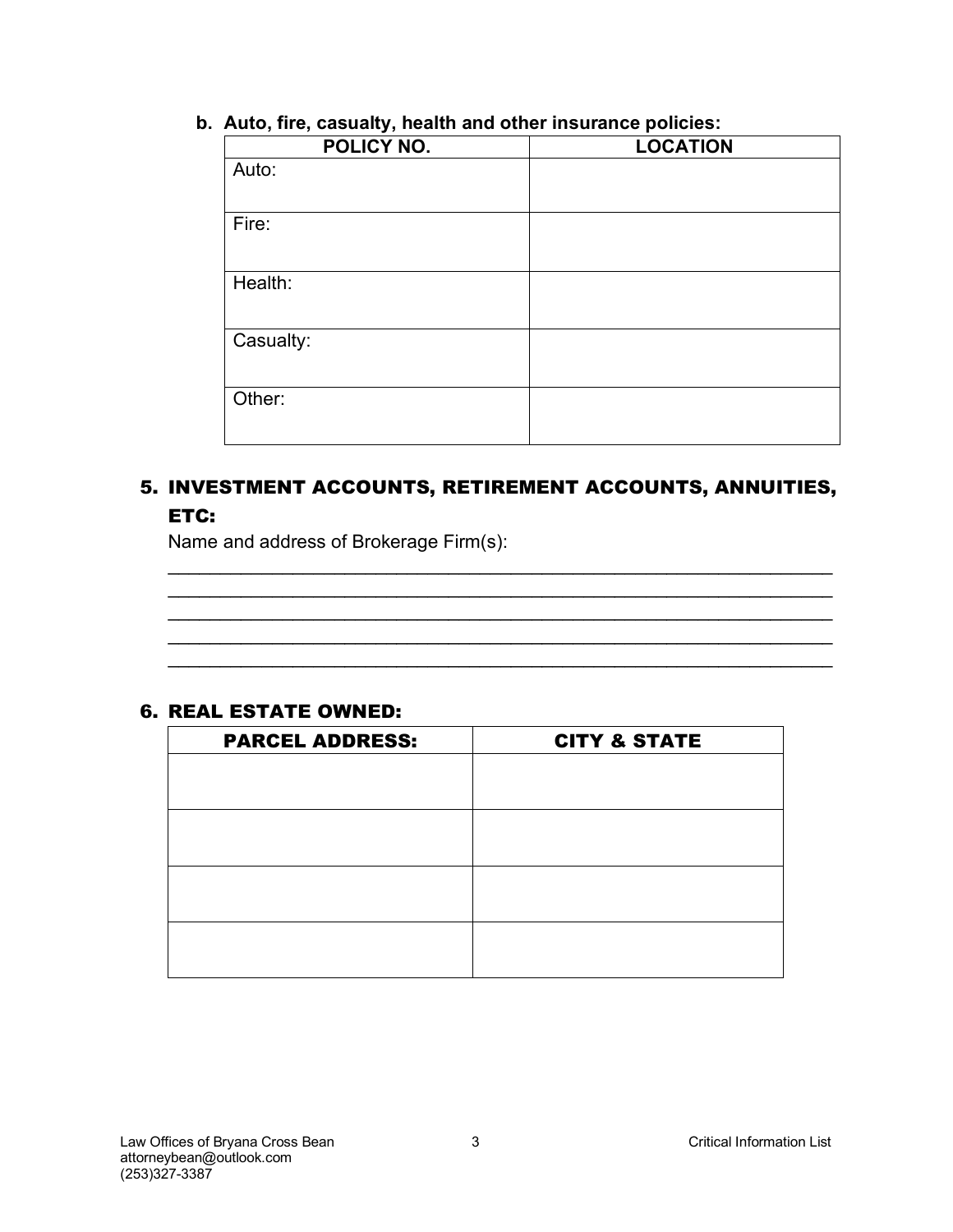| $\sim$<br>POLICY NO. | <b>LOCATION</b> |
|----------------------|-----------------|
| Auto:                |                 |
| Fire:                |                 |
| Health:              |                 |
| Casualty:            |                 |
| Other:               |                 |

**b. Auto, fire, casualty, health and other insurance policies:**

### 5. INVESTMENT ACCOUNTS, RETIREMENT ACCOUNTS, ANNUITIES, ETC:

\_\_\_\_\_\_\_\_\_\_\_\_\_\_\_\_\_\_\_\_\_\_\_\_\_\_\_\_\_\_\_\_\_\_\_\_\_\_\_\_\_\_\_\_\_\_\_\_\_\_\_\_\_\_\_\_\_\_\_\_\_\_\_\_ \_\_\_\_\_\_\_\_\_\_\_\_\_\_\_\_\_\_\_\_\_\_\_\_\_\_\_\_\_\_\_\_\_\_\_\_\_\_\_\_\_\_\_\_\_\_\_\_\_\_\_\_\_\_\_\_\_\_\_\_\_\_\_\_ \_\_\_\_\_\_\_\_\_\_\_\_\_\_\_\_\_\_\_\_\_\_\_\_\_\_\_\_\_\_\_\_\_\_\_\_\_\_\_\_\_\_\_\_\_\_\_\_\_\_\_\_\_\_\_\_\_\_\_\_\_\_\_\_ \_\_\_\_\_\_\_\_\_\_\_\_\_\_\_\_\_\_\_\_\_\_\_\_\_\_\_\_\_\_\_\_\_\_\_\_\_\_\_\_\_\_\_\_\_\_\_\_\_\_\_\_\_\_\_\_\_\_\_\_\_\_\_\_ \_\_\_\_\_\_\_\_\_\_\_\_\_\_\_\_\_\_\_\_\_\_\_\_\_\_\_\_\_\_\_\_\_\_\_\_\_\_\_\_\_\_\_\_\_\_\_\_\_\_\_\_\_\_\_\_\_\_\_\_\_\_\_\_

Name and address of Brokerage Firm(s):

#### 6. REAL ESTATE OWNED:

| <b>PARCEL ADDRESS:</b> | <b>CITY &amp; STATE</b> |
|------------------------|-------------------------|
|                        |                         |
|                        |                         |
|                        |                         |
|                        |                         |
|                        |                         |
|                        |                         |
|                        |                         |
|                        |                         |
|                        |                         |
|                        |                         |